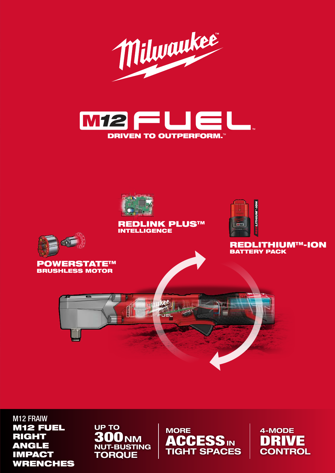





#### REDLINK PLUS™ **INTELLIGENCE**



REDLITHIUM™-ION BATTERY PACK





M12 FRAIW M12 FUEL RIGHT ANGLE IMPACT WRENCHES

UP TO NUT-BUSTING 300<sub>NM</sub> **TORQUE** 

**MORE** TIGHT SPACES MORE<br>**ACCESS** in

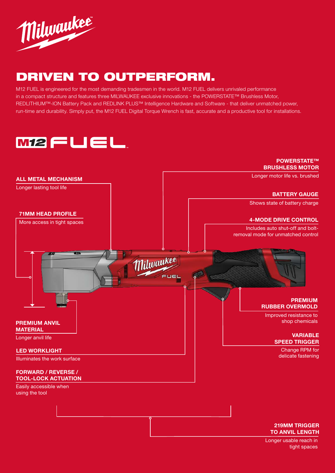

# DRIVEN TO OUTPERFORM.

M12 FUEL is engineered for the most demanding tradesmen in the world. M12 FUEL delivers unrivaled performance in a compact structure and features three MILWAUKEE exclusive innovations - the POWERSTATE™ Brushless Motor, REDLITHIUM™-ION Battery Pack and REDLINK PLUS™ Intelligence Hardware and Software - that deliver unmatched power, run-time and durability. Simply put, the M12 FUEL Digital Torque Wrench is fast, accurate and a productive tool for installations.





Longer usable reach in tight spaces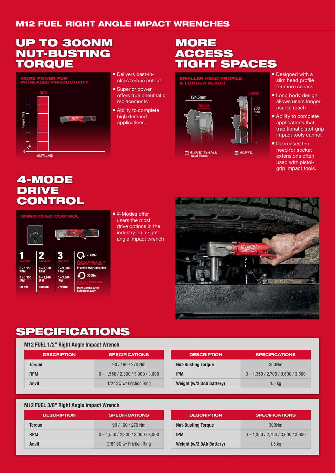### M12 FUEL RIGHT ANGLE IMPACT WRENCHES

## UP TO 300NM NUT-BUSTING **TORQUE**



- Delivers best-inclass torque output
- Superior power offers true pneumatic replacements
- Ability to complete high demand

## **MORE** ACCESS TIGHT SPACES



- Designed with a slim head profile for more access
- Long body design allows users longer usable reach
- Ability to complete applications that traditional pistol-grip impact tools cannot
- **Decreases the** need for socket extensions often used with pistolgrip impact tools.

### 4-MODE DRIVE **CONTROL**



■ 4-Modes offer users the most drive options in the industry on a right angle impact wrench



# SPECIFICATIONS

#### M12 FUEL 1/2" Right Angle Impact Wrench

| <b>DESCRIPTION</b> | <b>SPECIFICATIONS</b>               |
|--------------------|-------------------------------------|
| <b>Torque</b>      | 90 / 160 / 270 Nm                   |
| <b>RPM</b>         | $0 - 1,550 / 2,300 / 3,000 / 3,000$ |
| Anvil              | 1/2" SQ w/ Friction Ring            |

| <b>DESCRIPTION</b>        | <b>SPECIFICATIONS</b>               |
|---------------------------|-------------------------------------|
| <b>Nut-Busting Torque</b> | 300Nm                               |
| <b>IPM</b>                | $0 - 1,350 / 2,700 / 3,600 / 3,600$ |
| Weight (w/2.0Ah Battery)  | 1.5 <sub>kq</sub>                   |

#### M12 FUEL 3/8" Right Angle Impact Wrench

| <b>DESCRIPTION</b> | <b>SPECIFICATIONS</b>               |
|--------------------|-------------------------------------|
| <b>Torgue</b>      | 90 / 160 / 270 Nm                   |
| <b>RPM</b>         | $0 - 1,550 / 2,300 / 3,000 / 3,000$ |
| Anvil              | 3/8" SQ w/ Friction Ring            |

| <b>DESCRIPTION</b>        | <b>SPECIFICATIONS</b>               |
|---------------------------|-------------------------------------|
| <b>Nut-Busting Torque</b> | 300Nm                               |
| <b>IPM</b>                | $0 - 1.350 / 2,700 / 3,600 / 3,600$ |
| Weight (w/2.0Ah Battery)  | 1.5 <sub>kq</sub>                   |